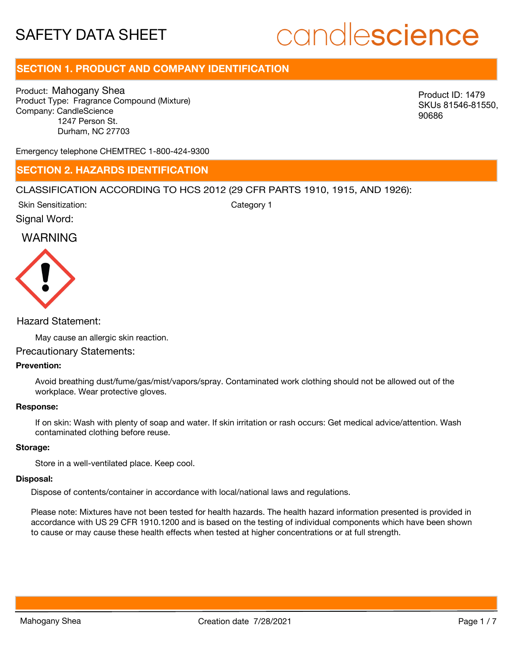# candlescience

# **SECTION 1. PRODUCT AND COMPANY IDENTIFICATION**

Product: Mahogany Shea Product Type: Fragrance Compound (Mixture) Company: CandleScience 1247 Person St. Durham, NC 27703

Product ID: 1479 SKUs 81546-81550, 90686

Emergency telephone CHEMTREC 1-800-424-9300

### **SECTION 2. HAZARDS IDENTIFICATION**

#### CLASSIFICATION ACCORDING TO HCS 2012 (29 CFR PARTS 1910, 1915, AND 1926):

Skin Sensitization:

Category 1

Signal Word:

# WARNING



#### Hazard Statement:

May cause an allergic skin reaction.

#### Precautionary Statements:

#### **Prevention:**

Avoid breathing dust/fume/gas/mist/vapors/spray. Contaminated work clothing should not be allowed out of the workplace. Wear protective gloves.

#### **Response:**

If on skin: Wash with plenty of soap and water. If skin irritation or rash occurs: Get medical advice/attention. Wash contaminated clothing before reuse.

#### **Storage:**

Store in a well-ventilated place. Keep cool.

#### **Disposal:**

Dispose of contents/container in accordance with local/national laws and regulations.

Please note: Mixtures have not been tested for health hazards. The health hazard information presented is provided in accordance with US 29 CFR 1910.1200 and is based on the testing of individual components which have been shown to cause or may cause these health effects when tested at higher concentrations or at full strength.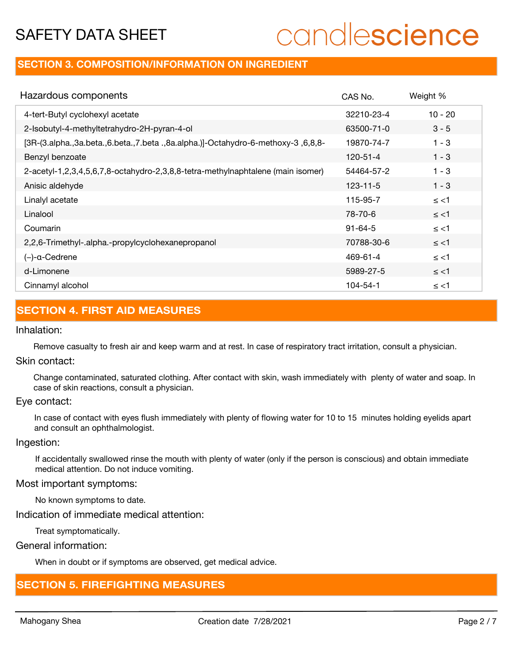# candlescience

## **SECTION 3. COMPOSITION/INFORMATION ON INGREDIENT**

| Hazardous components                                                            | CAS No.        | Weight %  |
|---------------------------------------------------------------------------------|----------------|-----------|
| 4-tert-Butyl cyclohexyl acetate                                                 | 32210-23-4     | $10 - 20$ |
| 2-Isobutyl-4-methyltetrahydro-2H-pyran-4-ol                                     | 63500-71-0     | $3 - 5$   |
| [3R-(3.alpha.,3a.beta.,6.beta.,7.beta.,8a.alpha.)]-Octahydro-6-methoxy-3,6,8,8- | 19870-74-7     | $1 - 3$   |
| Benzyl benzoate                                                                 | $120 - 51 - 4$ | $1 - 3$   |
| 2-acetyl-1,2,3,4,5,6,7,8-octahydro-2,3,8,8-tetra-methylnaphtalene (main isomer) | 54464-57-2     | $1 - 3$   |
| Anisic aldehyde                                                                 | $123 - 11 - 5$ | $1 - 3$   |
| Linalyl acetate                                                                 | 115-95-7       | $\le$ <1  |
| Linalool                                                                        | 78-70-6        | $\le$ <1  |
| Coumarin                                                                        | $91 - 64 - 5$  | $\le$ <1  |
| 2,2,6-Trimethyl-.alpha.-propylcyclohexanepropanol                               | 70788-30-6     | $\le$ <1  |
| $(-)$ -a-Cedrene                                                                | 469-61-4       | $\le$ <1  |
| d-Limonene                                                                      | 5989-27-5      | $\le$ <1  |
| Cinnamyl alcohol                                                                | 104-54-1       | $\le$ <1  |

# **SECTION 4. FIRST AID MEASURES**

#### Inhalation:

Remove casualty to fresh air and keep warm and at rest. In case of respiratory tract irritation, consult a physician.

#### Skin contact:

Change contaminated, saturated clothing. After contact with skin, wash immediately with plenty of water and soap. In case of skin reactions, consult a physician.

#### Eye contact:

In case of contact with eyes flush immediately with plenty of flowing water for 10 to 15 minutes holding eyelids apart and consult an ophthalmologist.

#### Ingestion:

If accidentally swallowed rinse the mouth with plenty of water (only if the person is conscious) and obtain immediate medical attention. Do not induce vomiting.

#### Most important symptoms:

No known symptoms to date.

Indication of immediate medical attention:

Treat symptomatically.

#### General information:

When in doubt or if symptoms are observed, get medical advice.

## **SECTION 5. FIREFIGHTING MEASURES**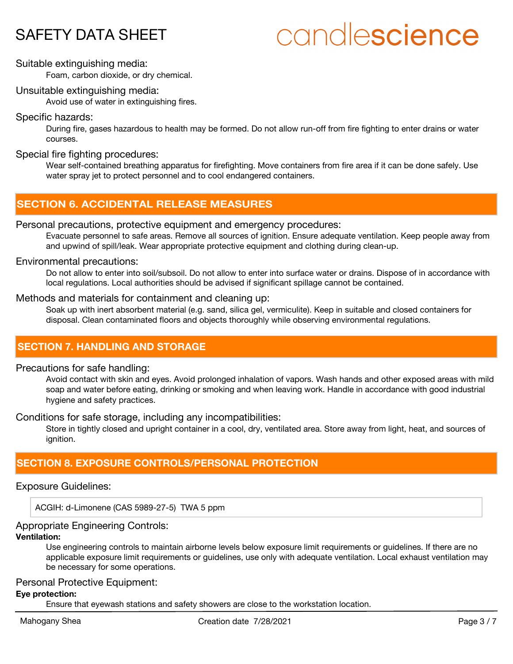# candlescience

#### Suitable extinguishing media:

Foam, carbon dioxide, or dry chemical.

#### Unsuitable extinguishing media:

Avoid use of water in extinguishing fires.

#### Specific hazards:

During fire, gases hazardous to health may be formed. Do not allow run-off from fire fighting to enter drains or water courses.

#### Special fire fighting procedures:

Wear self-contained breathing apparatus for firefighting. Move containers from fire area if it can be done safely. Use water spray jet to protect personnel and to cool endangered containers.

# **SECTION 6. ACCIDENTAL RELEASE MEASURES**

#### Personal precautions, protective equipment and emergency procedures:

Evacuate personnel to safe areas. Remove all sources of ignition. Ensure adequate ventilation. Keep people away from and upwind of spill/leak. Wear appropriate protective equipment and clothing during clean-up.

#### Environmental precautions:

Do not allow to enter into soil/subsoil. Do not allow to enter into surface water or drains. Dispose of in accordance with local regulations. Local authorities should be advised if significant spillage cannot be contained.

#### Methods and materials for containment and cleaning up:

Soak up with inert absorbent material (e.g. sand, silica gel, vermiculite). Keep in suitable and closed containers for disposal. Clean contaminated floors and objects thoroughly while observing environmental regulations.

## **SECTION 7. HANDLING AND STORAGE**

#### Precautions for safe handling:

Avoid contact with skin and eyes. Avoid prolonged inhalation of vapors. Wash hands and other exposed areas with mild soap and water before eating, drinking or smoking and when leaving work. Handle in accordance with good industrial hygiene and safety practices.

Conditions for safe storage, including any incompatibilities:

Store in tightly closed and upright container in a cool, dry, ventilated area. Store away from light, heat, and sources of ignition.

## **SECTION 8. EXPOSURE CONTROLS/PERSONAL PROTECTION**

#### Exposure Guidelines:

ACGIH: d-Limonene (CAS 5989-27-5) TWA 5 ppm

#### Appropriate Engineering Controls:

#### **Ventilation:**

Use engineering controls to maintain airborne levels below exposure limit requirements or guidelines. If there are no applicable exposure limit requirements or guidelines, use only with adequate ventilation. Local exhaust ventilation may be necessary for some operations.

#### Personal Protective Equipment:

#### **Eye protection:**

Ensure that eyewash stations and safety showers are close to the workstation location.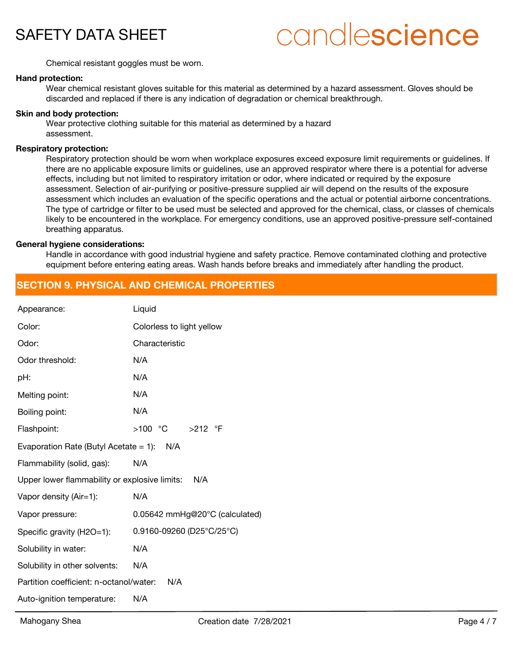

# candlescience

Chemical resistant goggles must be worn.

#### **Hand protection:**

Wear chemical resistant gloves suitable for this material as determined by a hazard assessment. Gloves should be discarded and replaced if there is any indication of degradation or chemical breakthrough.

#### **Skin and body protection:**

Wear protective clothing suitable for this material as determined by a hazard assessment.

#### **Respiratory protection:**

Respiratory protection should be worn when workplace exposures exceed exposure limit requirements or guidelines. If there are no applicable exposure limits or guidelines, use an approved respirator where there is a potential for adverse effects, including but not limited to respiratory irritation or odor, where indicated or required by the exposure assessment. Selection of air-purifying or positive-pressure supplied air will depend on the results of the exposure assessment which includes an evaluation of the specific operations and the actual or potential airborne concentrations. The type of cartridge or filter to be used must be selected and approved for the chemical, class, or classes of chemicals likely to be encountered in the workplace. For emergency conditions, use an approved positive-pressure self-contained breathing apparatus.

#### **General hygiene considerations:**

Handle in accordance with good industrial hygiene and safety practice. Remove contaminated clothing and protective equipment before entering eating areas. Wash hands before breaks and immediately after handling the product.

## **SECTION 9. PHYSICAL AND CHEMICAL PROPERTIES**

| Appearance:                                   | Liquid                         |
|-----------------------------------------------|--------------------------------|
| Color:                                        | Colorless to light yellow      |
| Odor:                                         | Characteristic                 |
| Odor threshold:                               | N/A                            |
| pH:                                           | N/A                            |
| Melting point:                                | N/A                            |
| Boiling point:                                | N/A                            |
| Flashpoint:                                   |                                |
| Evaporation Rate (Butyl Acetate = 1): $N/A$   |                                |
| Flammability (solid, gas):                    | N/A                            |
| Upper lower flammability or explosive limits: | N/A                            |
| Vapor density (Air=1):                        | N/A                            |
| Vapor pressure:                               | 0.05642 mmHg@20°C (calculated) |
| Specific gravity (H2O=1):                     | 0.9160-09260 (D25°C/25°C)      |
| Solubility in water:                          | N/A                            |
| Solubility in other solvents:                 | N/A                            |
| Partition coefficient: n-octanol/water:       | N/A                            |
| Auto-ignition temperature:                    | N/A                            |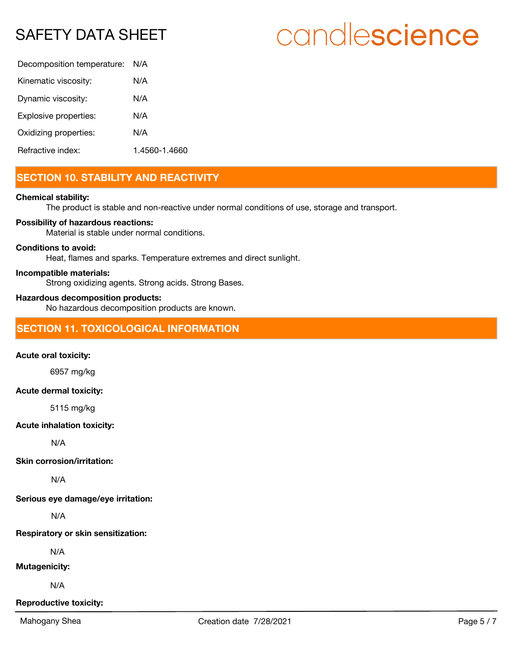# candlescience

| Decomposition temperature: | N/A           |
|----------------------------|---------------|
| Kinematic viscosity:       | N/A           |
| Dynamic viscosity:         | N/A           |
| Explosive properties:      | N/A           |
| Oxidizing properties:      | N/A           |
| Refractive index:          | 1.4560-1.4660 |

# **SECTION 10. STABILITY AND REACTIVITY**

#### **Chemical stability:**

The product is stable and non-reactive under normal conditions of use, storage and transport.

#### **Possibility of hazardous reactions:**

Material is stable under normal conditions.

#### **Conditions to avoid:**

Heat, flames and sparks. Temperature extremes and direct sunlight.

#### **Incompatible materials:**

Strong oxidizing agents. Strong acids. Strong Bases.

#### **Hazardous decomposition products:**

No hazardous decomposition products are known.

## **SECTION 11. TOXICOLOGICAL INFORMATION**

#### **Acute oral toxicity:**

6957 mg/kg

#### **Acute dermal toxicity:**

5115 mg/kg

#### **Acute inhalation toxicity:**

N/A

#### **Skin corrosion/irritation:**

N/A

**Serious eye damage/eye irritation:**

N/A

#### **Respiratory or skin sensitization:**

N/A

#### **Mutagenicity:**

N/A

#### **Reproductive toxicity:**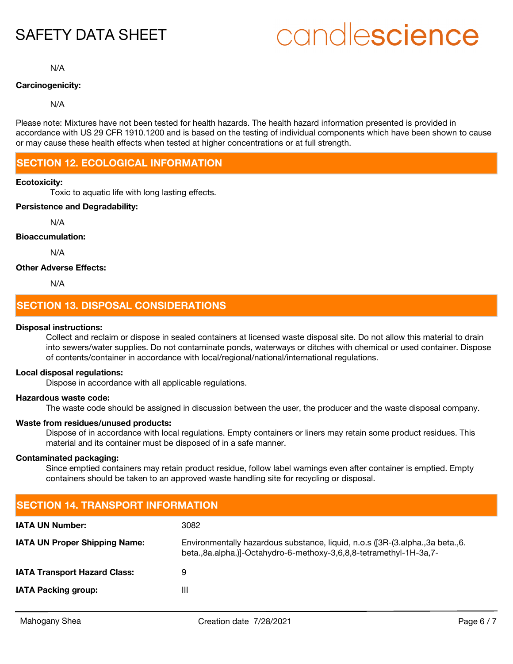# candlescience

N/A

#### **Carcinogenicity:**

N/A

Please note: Mixtures have not been tested for health hazards. The health hazard information presented is provided in accordance with US 29 CFR 1910.1200 and is based on the testing of individual components which have been shown to cause or may cause these health effects when tested at higher concentrations or at full strength.

## **SECTION 12. ECOLOGICAL INFORMATION**

#### **Ecotoxicity:**

Toxic to aquatic life with long lasting effects.

### **Persistence and Degradability:**

N/A

#### **Bioaccumulation:**

N/A

#### **Other Adverse Effects:**

N/A

## **SECTION 13. DISPOSAL CONSIDERATIONS**

#### **Disposal instructions:**

Collect and reclaim or dispose in sealed containers at licensed waste disposal site. Do not allow this material to drain into sewers/water supplies. Do not contaminate ponds, waterways or ditches with chemical or used container. Dispose of contents/container in accordance with local/regional/national/international regulations.

#### **Local disposal regulations:**

Dispose in accordance with all applicable regulations.

#### **Hazardous waste code:**

The waste code should be assigned in discussion between the user, the producer and the waste disposal company.

#### **Waste from residues/unused products:**

Dispose of in accordance with local regulations. Empty containers or liners may retain some product residues. This material and its container must be disposed of in a safe manner.

#### **Contaminated packaging:**

Since emptied containers may retain product residue, follow label warnings even after container is emptied. Empty containers should be taken to an approved waste handling site for recycling or disposal.

| <b>ISECTION 14. TRANSPORT INFORMATION</b> |                                                                                                                                                     |  |
|-------------------------------------------|-----------------------------------------------------------------------------------------------------------------------------------------------------|--|
| <b>IATA UN Number:</b>                    | 3082                                                                                                                                                |  |
| <b>IATA UN Proper Shipping Name:</b>      | Environmentally hazardous substance, liquid, n.o.s ([3R-(3.alpha.,3a beta.,6.<br>beta.,8a.alpha.)]-Octahydro-6-methoxy-3,6,8,8-tetramethyl-1H-3a,7- |  |
| <b>IATA Transport Hazard Class:</b>       | 9                                                                                                                                                   |  |
| <b>IATA Packing group:</b>                | Ш                                                                                                                                                   |  |
|                                           |                                                                                                                                                     |  |